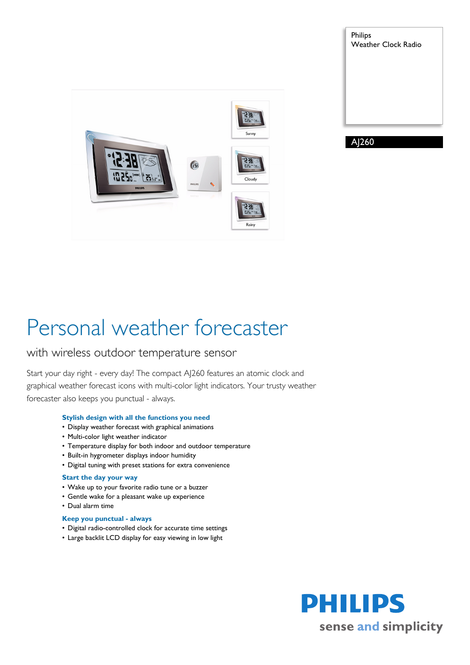



AJ260

# Personal weather forecaster

### with wireless outdoor temperature sensor

Start your day right - every day! The compact AJ260 features an atomic clock and graphical weather forecast icons with multi-color light indicators. Your trusty weather forecaster also keeps you punctual - always.

#### **Stylish design with all the functions you need**

- Display weather forecast with graphical animations
- Multi-color light weather indicator
- Temperature display for both indoor and outdoor temperature
- Built-in hygrometer displays indoor humidity
- Digital tuning with preset stations for extra convenience

#### **Start the day your way**

- Wake up to your favorite radio tune or a buzzer
- Gentle wake for a pleasant wake up experience
- Dual alarm time

#### **Keep you punctual - always**

- Digital radio-controlled clock for accurate time settings
- Large backlit LCD display for easy viewing in low light

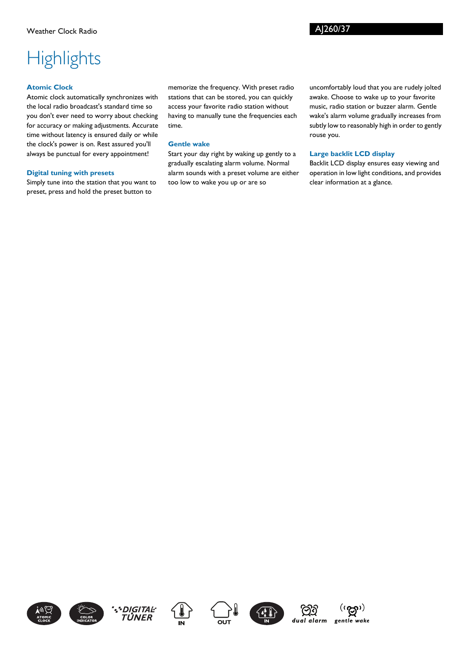### AJ260/37

## **Highlights**

#### **Atomic Clock**

Atomic clock automatically synchronizes with the local radio broadcast's standard time so you don't ever need to worry about checking for accuracy or making adjustments. Accurate time without latency is ensured daily or while the clock's power is on. Rest assured you'll always be punctual for every appointment!

#### **Digital tuning with presets**

Simply tune into the station that you want to preset, press and hold the preset button to

memorize the frequency. With preset radio stations that can be stored, you can quickly access your favorite radio station without having to manually tune the frequencies each time.

#### **Gentle wake**

Start your day right by waking up gently to a gradually escalating alarm volume. Normal alarm sounds with a preset volume are either too low to wake you up or are so

uncomfortably loud that you are rudely jolted awake. Choose to wake up to your favorite music, radio station or buzzer alarm. Gentle wake's alarm volume gradually increases from subtly low to reasonably high in order to gently rouse you.

#### **Large backlit LCD display**

Backlit LCD display ensures easy viewing and operation in low light conditions, and provides clear information at a glance.